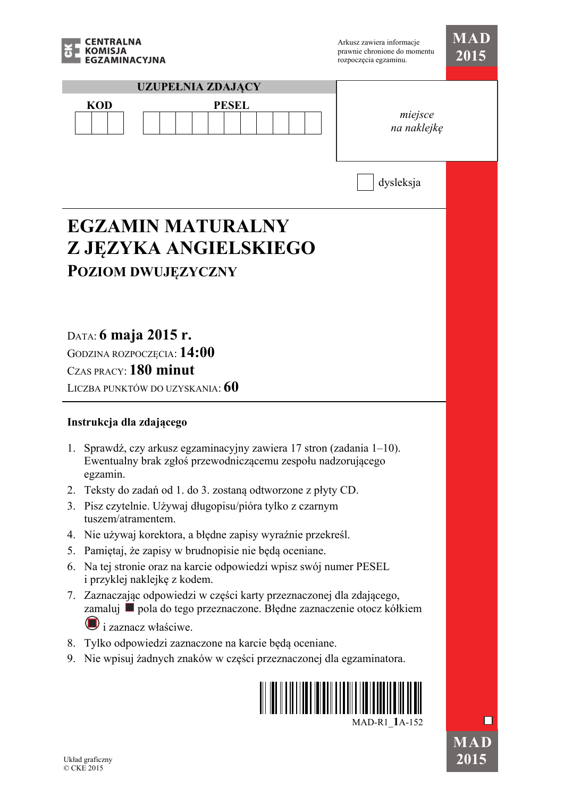

| <b>KOMISJA</b><br>ZAMINACYJNA                                                                                                                        | prawnie chronione do momentu<br>rozpoczęcia egzaminu. | 2015 |
|------------------------------------------------------------------------------------------------------------------------------------------------------|-------------------------------------------------------|------|
| <b>UZUPEŁNIA ZDAJĄCY</b>                                                                                                                             |                                                       |      |
| <b>PESEL</b><br><b>KOD</b>                                                                                                                           | miejsce<br>na naklejkę                                |      |
|                                                                                                                                                      | dysleksja                                             |      |
| <b>EGZAMIN MATURALNY</b>                                                                                                                             |                                                       |      |
| Z JĘZYKA ANGIELSKIEGO                                                                                                                                |                                                       |      |
| <b>POZIOM DWUJĘZYCZNY</b>                                                                                                                            |                                                       |      |
|                                                                                                                                                      |                                                       |      |
|                                                                                                                                                      |                                                       |      |
| DATA: 6 maja 2015 r.                                                                                                                                 |                                                       |      |
| GODZINA ROZPOCZĘCIA: 14:00                                                                                                                           |                                                       |      |
| CZAS PRACY: 180 minut                                                                                                                                |                                                       |      |
| LICZBA PUNKTÓW DO UZYSKANIA: 60                                                                                                                      |                                                       |      |
| Instrukcja dla zdającego                                                                                                                             |                                                       |      |
| Sprawdź, czy arkusz egzaminacyjny zawiera 17 stron (zadania 1–10).<br>1.<br>Ewentualny brak zgłoś przewodniczącemu zespołu nadzorującego<br>egzamın. |                                                       |      |
| Teksty do zadań od 1. do 3. zostaną odtworzone z płyty CD.<br>2.                                                                                     |                                                       |      |
| Pisz czytelnie. Używaj długopisu/pióra tylko z czarnym<br>3.<br>tuszem/atramentem.                                                                   |                                                       |      |
| Nie używaj korektora, a błędne zapisy wyraźnie przekreśl.<br>4.                                                                                      |                                                       |      |
| Pamiętaj, że zapisy w brudnopisie nie będą oceniane.<br>5.<br>Na tej stronie oraz na karcie odpowiedzi wpisz swój numer PESEL<br>6.                  |                                                       |      |
| i przyklej naklejkę z kodem.                                                                                                                         |                                                       |      |
| 7. Zaznaczając odpowiedzi w części karty przeznaczonej dla zdającego,<br>zamaluj ■ pola do tego przeznaczone. Błędne zaznaczenie otocz kółkiem       |                                                       |      |
| i zaznacz właściwe.                                                                                                                                  |                                                       |      |
| Tylko odpowiedzi zaznaczone na karcie będą oceniane.<br>8.<br>Nie wpisuj żadnych znaków w części przeznaczonej dla egzaminatora.<br>9.               |                                                       |      |
|                                                                                                                                                      |                                                       |      |
|                                                                                                                                                      | MAD-R1 1A-152                                         |      |
| Układ graficzny<br>© CKE 2015                                                                                                                        |                                                       | 2015 |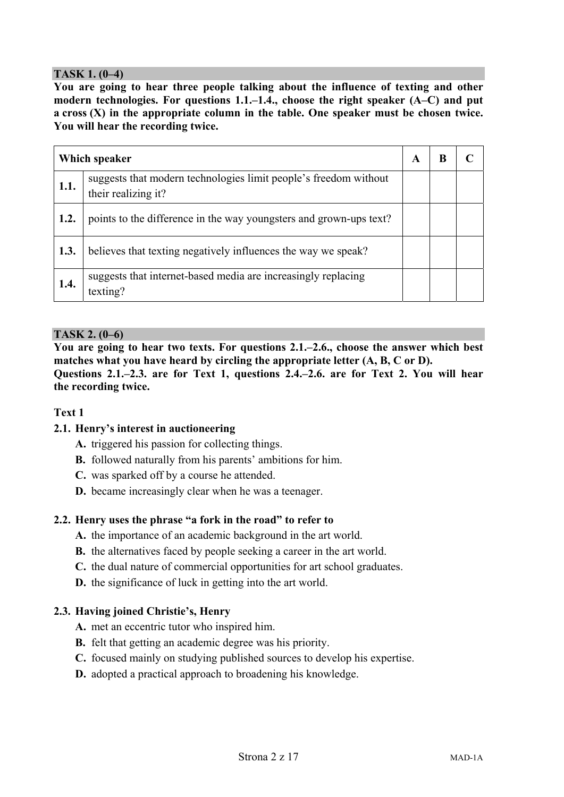# **TASK 1. (0–4)**

**You are going to hear three people talking about the influence of texting and other modern technologies. For questions 1.1.–1.4., choose the right speaker (A–C) and put a cross (X) in the appropriate column in the table. One speaker must be chosen twice. You will hear the recording twice.** 

| Which speaker | A                                                                                       | B |  |  |
|---------------|-----------------------------------------------------------------------------------------|---|--|--|
| 1.1.          | suggests that modern technologies limit people's freedom without<br>their realizing it? |   |  |  |
| 1.2.          | points to the difference in the way youngsters and grown-ups text?                      |   |  |  |
| 1.3.          | believes that texting negatively influences the way we speak?                           |   |  |  |
| 1.4.          | suggests that internet-based media are increasingly replacing<br>texting?               |   |  |  |

# **TASK 2. (0–6)**

**You are going to hear two texts. For questions 2.1.–2.6., choose the answer which best matches what you have heard by circling the appropriate letter (A, B, C or D). Questions 2.1.–2.3. are for Text 1, questions 2.4.–2.6. are for Text 2. You will hear the recording twice.** 

# **Text 1**

# **2.1. Henry's interest in auctioneering**

- **A.** triggered his passion for collecting things.
- **B.** followed naturally from his parents' ambitions for him.
- **C.** was sparked off by a course he attended.
- **D.** became increasingly clear when he was a teenager.

# **2.2. Henry uses the phrase "a fork in the road" to refer to**

- **A.** the importance of an academic background in the art world.
- **B.** the alternatives faced by people seeking a career in the art world.
- **C.** the dual nature of commercial opportunities for art school graduates.

**D.** the significance of luck in getting into the art world.

# **2.3. Having joined Christie's, Henry**

- **A.** met an eccentric tutor who inspired him.
- **B.** felt that getting an academic degree was his priority.
- **C.** focused mainly on studying published sources to develop his expertise.
- **D.** adopted a practical approach to broadening his knowledge.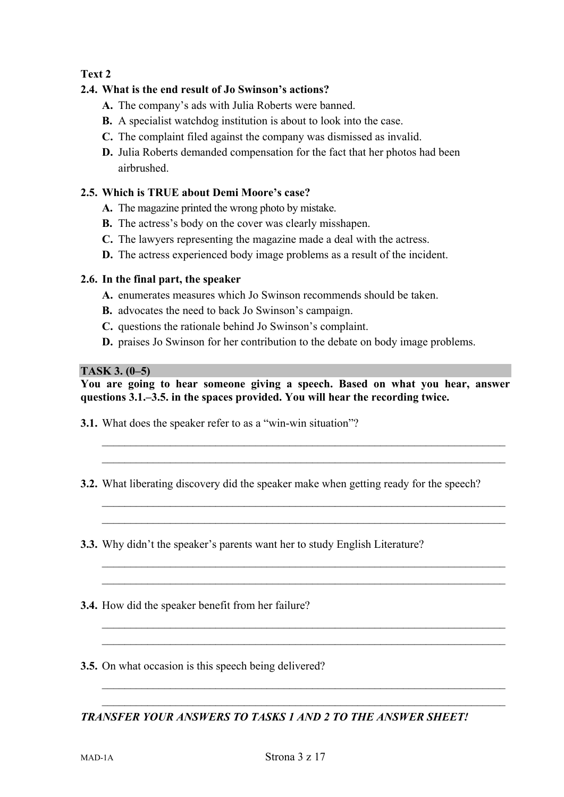# **Text 2**

# **2.4. What is the end result of Jo Swinson's actions?**

- **A.** The company's ads with Julia Roberts were banned.
- **B.** A specialist watchdog institution is about to look into the case.
- **C.** The complaint filed against the company was dismissed as invalid.
- **D.** Julia Roberts demanded compensation for the fact that her photos had been airbrushed.

# **2.5. Which is TRUE about Demi Moore's case?**

- **A.** The magazine printed the wrong photo by mistake.
- **B.** The actress's body on the cover was clearly misshapen.
- **C.** The lawyers representing the magazine made a deal with the actress.
- **D.** The actress experienced body image problems as a result of the incident.

# **2.6. In the final part, the speaker**

- **A.** enumerates measures which Jo Swinson recommends should be taken.
- **B.** advocates the need to back Jo Swinson's campaign.
- **C.** questions the rationale behind Jo Swinson's complaint.
- **D.** praises Jo Swinson for her contribution to the debate on body image problems.

## **TASK 3. (0–5)**

**You are going to hear someone giving a speech. Based on what you hear, answer questions 3.1.–3.5. in the spaces provided. You will hear the recording twice.** 

 $\mathcal{L}_\mathcal{L} = \{ \mathcal{L}_\mathcal{L} = \{ \mathcal{L}_\mathcal{L} = \{ \mathcal{L}_\mathcal{L} = \{ \mathcal{L}_\mathcal{L} = \{ \mathcal{L}_\mathcal{L} = \{ \mathcal{L}_\mathcal{L} = \{ \mathcal{L}_\mathcal{L} = \{ \mathcal{L}_\mathcal{L} = \{ \mathcal{L}_\mathcal{L} = \{ \mathcal{L}_\mathcal{L} = \{ \mathcal{L}_\mathcal{L} = \{ \mathcal{L}_\mathcal{L} = \{ \mathcal{L}_\mathcal{L} = \{ \mathcal{L}_\mathcal{$  $\mathcal{L}_\mathcal{L} = \{ \mathcal{L}_\mathcal{L} = \{ \mathcal{L}_\mathcal{L} = \{ \mathcal{L}_\mathcal{L} = \{ \mathcal{L}_\mathcal{L} = \{ \mathcal{L}_\mathcal{L} = \{ \mathcal{L}_\mathcal{L} = \{ \mathcal{L}_\mathcal{L} = \{ \mathcal{L}_\mathcal{L} = \{ \mathcal{L}_\mathcal{L} = \{ \mathcal{L}_\mathcal{L} = \{ \mathcal{L}_\mathcal{L} = \{ \mathcal{L}_\mathcal{L} = \{ \mathcal{L}_\mathcal{L} = \{ \mathcal{L}_\mathcal{$ 

 $\mathcal{L}_\text{max} = \mathcal{L}_\text{max} = \mathcal{L}_\text{max} = \mathcal{L}_\text{max} = \mathcal{L}_\text{max} = \mathcal{L}_\text{max} = \mathcal{L}_\text{max} = \mathcal{L}_\text{max} = \mathcal{L}_\text{max} = \mathcal{L}_\text{max} = \mathcal{L}_\text{max} = \mathcal{L}_\text{max} = \mathcal{L}_\text{max} = \mathcal{L}_\text{max} = \mathcal{L}_\text{max} = \mathcal{L}_\text{max} = \mathcal{L}_\text{max} = \mathcal{L}_\text{max} = \mathcal{$  $\mathcal{L}_\mathcal{L} = \{ \mathcal{L}_\mathcal{L} = \{ \mathcal{L}_\mathcal{L} = \{ \mathcal{L}_\mathcal{L} = \{ \mathcal{L}_\mathcal{L} = \{ \mathcal{L}_\mathcal{L} = \{ \mathcal{L}_\mathcal{L} = \{ \mathcal{L}_\mathcal{L} = \{ \mathcal{L}_\mathcal{L} = \{ \mathcal{L}_\mathcal{L} = \{ \mathcal{L}_\mathcal{L} = \{ \mathcal{L}_\mathcal{L} = \{ \mathcal{L}_\mathcal{L} = \{ \mathcal{L}_\mathcal{L} = \{ \mathcal{L}_\mathcal{$ 

 $\mathcal{L}_\mathcal{L} = \{ \mathcal{L}_\mathcal{L} = \{ \mathcal{L}_\mathcal{L} = \{ \mathcal{L}_\mathcal{L} = \{ \mathcal{L}_\mathcal{L} = \{ \mathcal{L}_\mathcal{L} = \{ \mathcal{L}_\mathcal{L} = \{ \mathcal{L}_\mathcal{L} = \{ \mathcal{L}_\mathcal{L} = \{ \mathcal{L}_\mathcal{L} = \{ \mathcal{L}_\mathcal{L} = \{ \mathcal{L}_\mathcal{L} = \{ \mathcal{L}_\mathcal{L} = \{ \mathcal{L}_\mathcal{L} = \{ \mathcal{L}_\mathcal{$  $\mathcal{L}_\text{max} = \mathcal{L}_\text{max} = \mathcal{L}_\text{max} = \mathcal{L}_\text{max} = \mathcal{L}_\text{max} = \mathcal{L}_\text{max} = \mathcal{L}_\text{max} = \mathcal{L}_\text{max} = \mathcal{L}_\text{max} = \mathcal{L}_\text{max} = \mathcal{L}_\text{max} = \mathcal{L}_\text{max} = \mathcal{L}_\text{max} = \mathcal{L}_\text{max} = \mathcal{L}_\text{max} = \mathcal{L}_\text{max} = \mathcal{L}_\text{max} = \mathcal{L}_\text{max} = \mathcal{$ 

 $\mathcal{L}_\mathcal{L} = \{ \mathcal{L}_\mathcal{L} = \{ \mathcal{L}_\mathcal{L} = \{ \mathcal{L}_\mathcal{L} = \{ \mathcal{L}_\mathcal{L} = \{ \mathcal{L}_\mathcal{L} = \{ \mathcal{L}_\mathcal{L} = \{ \mathcal{L}_\mathcal{L} = \{ \mathcal{L}_\mathcal{L} = \{ \mathcal{L}_\mathcal{L} = \{ \mathcal{L}_\mathcal{L} = \{ \mathcal{L}_\mathcal{L} = \{ \mathcal{L}_\mathcal{L} = \{ \mathcal{L}_\mathcal{L} = \{ \mathcal{L}_\mathcal{$  $\mathcal{L}_\text{max} = \mathcal{L}_\text{max} = \mathcal{L}_\text{max} = \mathcal{L}_\text{max} = \mathcal{L}_\text{max} = \mathcal{L}_\text{max} = \mathcal{L}_\text{max} = \mathcal{L}_\text{max} = \mathcal{L}_\text{max} = \mathcal{L}_\text{max} = \mathcal{L}_\text{max} = \mathcal{L}_\text{max} = \mathcal{L}_\text{max} = \mathcal{L}_\text{max} = \mathcal{L}_\text{max} = \mathcal{L}_\text{max} = \mathcal{L}_\text{max} = \mathcal{L}_\text{max} = \mathcal{$ 

 $\mathcal{L}_\mathcal{L} = \{ \mathcal{L}_\mathcal{L} = \{ \mathcal{L}_\mathcal{L} = \{ \mathcal{L}_\mathcal{L} = \{ \mathcal{L}_\mathcal{L} = \{ \mathcal{L}_\mathcal{L} = \{ \mathcal{L}_\mathcal{L} = \{ \mathcal{L}_\mathcal{L} = \{ \mathcal{L}_\mathcal{L} = \{ \mathcal{L}_\mathcal{L} = \{ \mathcal{L}_\mathcal{L} = \{ \mathcal{L}_\mathcal{L} = \{ \mathcal{L}_\mathcal{L} = \{ \mathcal{L}_\mathcal{L} = \{ \mathcal{L}_\mathcal{$  $\mathcal{L}_\mathcal{L} = \{ \mathcal{L}_\mathcal{L} = \{ \mathcal{L}_\mathcal{L} = \{ \mathcal{L}_\mathcal{L} = \{ \mathcal{L}_\mathcal{L} = \{ \mathcal{L}_\mathcal{L} = \{ \mathcal{L}_\mathcal{L} = \{ \mathcal{L}_\mathcal{L} = \{ \mathcal{L}_\mathcal{L} = \{ \mathcal{L}_\mathcal{L} = \{ \mathcal{L}_\mathcal{L} = \{ \mathcal{L}_\mathcal{L} = \{ \mathcal{L}_\mathcal{L} = \{ \mathcal{L}_\mathcal{L} = \{ \mathcal{L}_\mathcal{$ 

- **3.1.** What does the speaker refer to as a "win-win situation"?
- **3.2.** What liberating discovery did the speaker make when getting ready for the speech?
- **3.3.** Why didn't the speaker's parents want her to study English Literature?
- **3.4.** How did the speaker benefit from her failure?
- **3.5.** On what occasion is this speech being delivered?

*TRANSFER YOUR ANSWERS TO TASKS 1 AND 2 TO THE ANSWER SHEET!*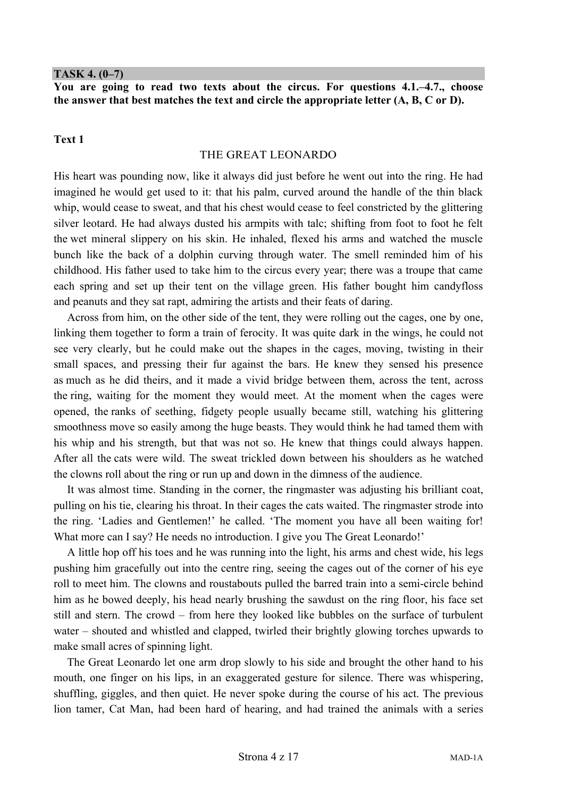#### **TASK 4. (0–7)**

**You are going to read two texts about the circus. For questions 4.1.–4.7., choose the answer that best matches the text and circle the appropriate letter (A, B, C or D).** 

#### **Text 1**

#### THE GREAT LEONARDO

His heart was pounding now, like it always did just before he went out into the ring. He had imagined he would get used to it: that his palm, curved around the handle of the thin black whip, would cease to sweat, and that his chest would cease to feel constricted by the glittering silver leotard. He had always dusted his armpits with talc; shifting from foot to foot he felt the wet mineral slippery on his skin. He inhaled, flexed his arms and watched the muscle bunch like the back of a dolphin curving through water. The smell reminded him of his childhood. His father used to take him to the circus every year; there was a troupe that came each spring and set up their tent on the village green. His father bought him candyfloss and peanuts and they sat rapt, admiring the artists and their feats of daring.

Across from him, on the other side of the tent, they were rolling out the cages, one by one, linking them together to form a train of ferocity. It was quite dark in the wings, he could not see very clearly, but he could make out the shapes in the cages, moving, twisting in their small spaces, and pressing their fur against the bars. He knew they sensed his presence as much as he did theirs, and it made a vivid bridge between them, across the tent, across the ring, waiting for the moment they would meet. At the moment when the cages were opened, the ranks of seething, fidgety people usually became still, watching his glittering smoothness move so easily among the huge beasts. They would think he had tamed them with his whip and his strength, but that was not so. He knew that things could always happen. After all the cats were wild. The sweat trickled down between his shoulders as he watched the clowns roll about the ring or run up and down in the dimness of the audience.

It was almost time. Standing in the corner, the ringmaster was adjusting his brilliant coat, pulling on his tie, clearing his throat. In their cages the cats waited. The ringmaster strode into the ring. 'Ladies and Gentlemen!' he called. 'The moment you have all been waiting for! What more can I say? He needs no introduction. I give you The Great Leonardo!'

A little hop off his toes and he was running into the light, his arms and chest wide, his legs pushing him gracefully out into the centre ring, seeing the cages out of the corner of his eye roll to meet him. The clowns and roustabouts pulled the barred train into a semi-circle behind him as he bowed deeply, his head nearly brushing the sawdust on the ring floor, his face set still and stern. The crowd – from here they looked like bubbles on the surface of turbulent water – shouted and whistled and clapped, twirled their brightly glowing torches upwards to make small acres of spinning light.

The Great Leonardo let one arm drop slowly to his side and brought the other hand to his mouth, one finger on his lips, in an exaggerated gesture for silence. There was whispering, shuffling, giggles, and then quiet. He never spoke during the course of his act. The previous lion tamer, Cat Man, had been hard of hearing, and had trained the animals with a series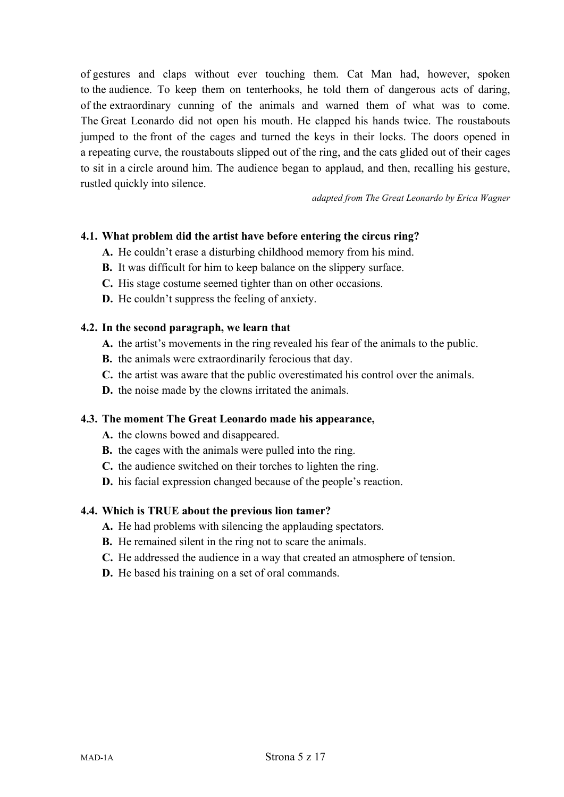of gestures and claps without ever touching them. Cat Man had, however, spoken to the audience. To keep them on tenterhooks, he told them of dangerous acts of daring, of the extraordinary cunning of the animals and warned them of what was to come. The Great Leonardo did not open his mouth. He clapped his hands twice. The roustabouts jumped to the front of the cages and turned the keys in their locks. The doors opened in a repeating curve, the roustabouts slipped out of the ring, and the cats glided out of their cages to sit in a circle around him. The audience began to applaud, and then, recalling his gesture, rustled quickly into silence.

*adapted from The Great Leonardo by Erica Wagner* 

# **4.1. What problem did the artist have before entering the circus ring?**

- **A.** He couldn't erase a disturbing childhood memory from his mind.
- **B.** It was difficult for him to keep balance on the slippery surface.
- **C.** His stage costume seemed tighter than on other occasions.
- **D.** He couldn't suppress the feeling of anxiety.

#### **4.2. In the second paragraph, we learn that**

- **A.** the artist's movements in the ring revealed his fear of the animals to the public.
- **B.** the animals were extraordinarily ferocious that day.
- **C.** the artist was aware that the public overestimated his control over the animals.
- **D.** the noise made by the clowns irritated the animals.

#### **4.3. The moment The Great Leonardo made his appearance,**

- **A.** the clowns bowed and disappeared.
- **B.** the cages with the animals were pulled into the ring.
- **C.** the audience switched on their torches to lighten the ring.
- **D.** his facial expression changed because of the people's reaction.

#### **4.4. Which is TRUE about the previous lion tamer?**

- **A.** He had problems with silencing the applauding spectators.
- **B.** He remained silent in the ring not to scare the animals.
- **C.** He addressed the audience in a way that created an atmosphere of tension.
- **D.** He based his training on a set of oral commands.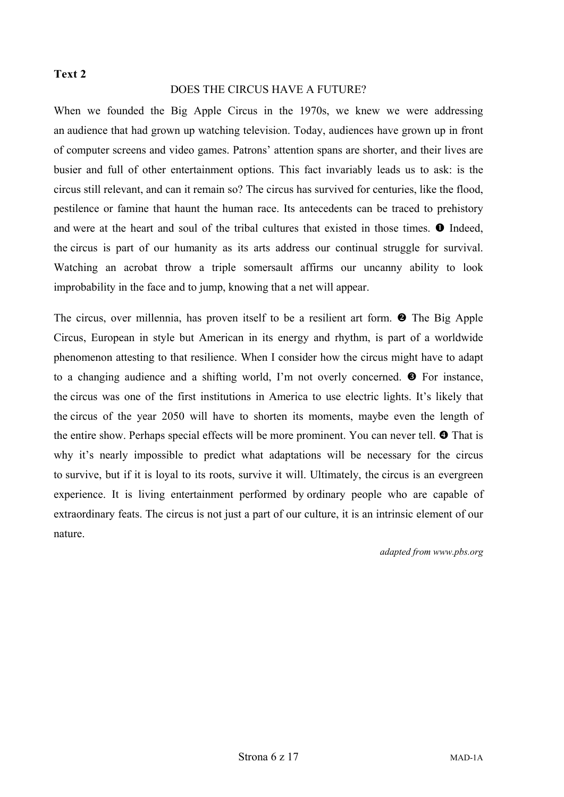## **Text 2**

### DOES THE CIRCUS HAVE A FUTURE?

When we founded the Big Apple Circus in the 1970s, we knew we were addressing an audience that had grown up watching television. Today, audiences have grown up in front of computer screens and video games. Patrons' attention spans are shorter, and their lives are busier and full of other entertainment options. This fact invariably leads us to ask: is the circus still relevant, and can it remain so? The circus has survived for centuries, like the flood, pestilence or famine that haunt the human race. Its antecedents can be traced to prehistory and were at the heart and soul of the tribal cultures that existed in those times.  $\bullet$  Indeed, the circus is part of our humanity as its arts address our continual struggle for survival. Watching an acrobat throw a triple somersault affirms our uncanny ability to look improbability in the face and to jump, knowing that a net will appear.

The circus, over millennia, has proven itself to be a resilient art form.  $\bullet$  The Big Apple Circus, European in style but American in its energy and rhythm, is part of a worldwide phenomenon attesting to that resilience. When I consider how the circus might have to adapt to a changing audience and a shifting world, I'm not overly concerned.  $\bullet$  For instance, the circus was one of the first institutions in America to use electric lights. It's likely that the circus of the year 2050 will have to shorten its moments, maybe even the length of the entire show. Perhaps special effects will be more prominent. You can never tell.  $\bullet$  That is why it's nearly impossible to predict what adaptations will be necessary for the circus to survive, but if it is loyal to its roots, survive it will. Ultimately, the circus is an evergreen experience. It is living entertainment performed by ordinary people who are capable of extraordinary feats. The circus is not just a part of our culture, it is an intrinsic element of our nature.

*adapted from www.pbs.org*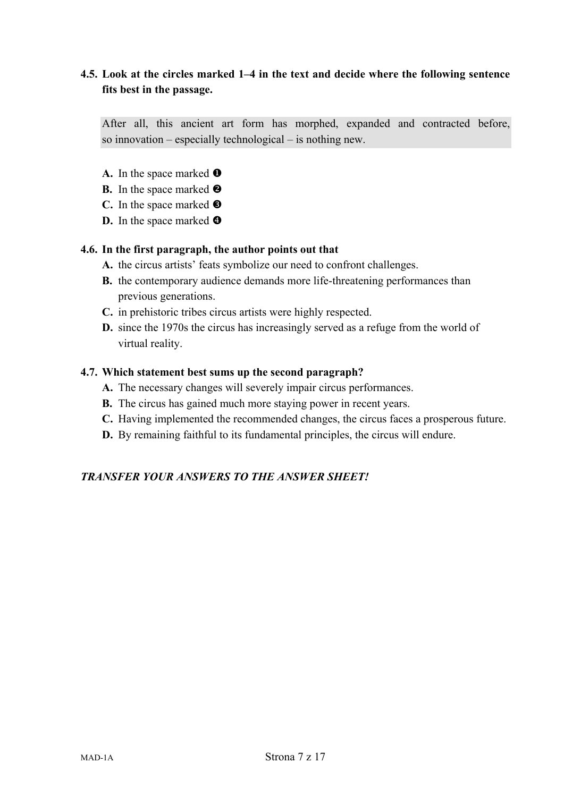# **4.5. Look at the circles marked 1–4 in the text and decide where the following sentence fits best in the passage.**

After all, this ancient art form has morphed, expanded and contracted before, so innovation – especially technological – is nothing new.

- A. In the space marked  $\bullet$
- **B.** In the space marked  $\Theta$
- **C.** In the space marked
- **D.** In the space marked **O**

#### **4.6. In the first paragraph, the author points out that**

- **A.** the circus artists' feats symbolize our need to confront challenges.
- **B.** the contemporary audience demands more life-threatening performances than previous generations.
- **C.** in prehistoric tribes circus artists were highly respected.
- **D.** since the 1970s the circus has increasingly served as a refuge from the world of virtual reality.

## **4.7. Which statement best sums up the second paragraph?**

- **A.** The necessary changes will severely impair circus performances.
- **B.** The circus has gained much more staying power in recent years.
- **C.** Having implemented the recommended changes, the circus faces a prosperous future.
- **D.** By remaining faithful to its fundamental principles, the circus will endure.

# *TRANSFER YOUR ANSWERS TO THE ANSWER SHEET!*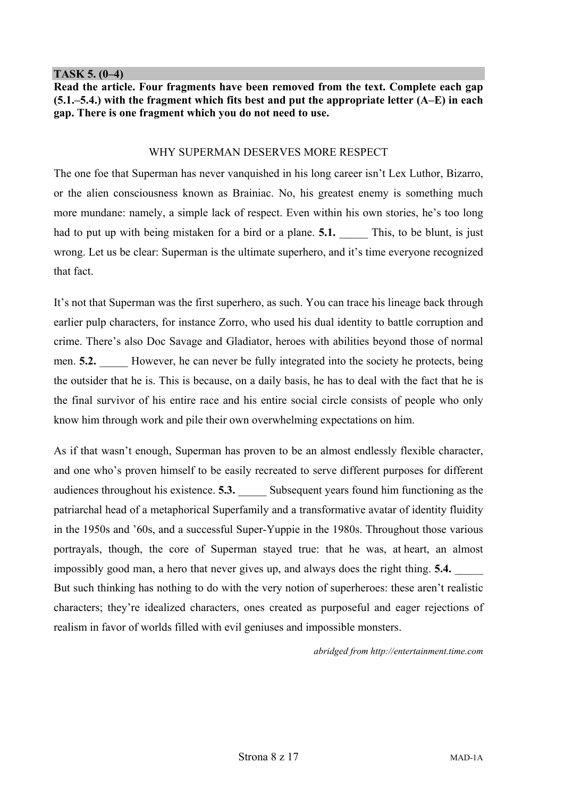#### **TASK 5. (0–4)**

**Read the article. Four fragments have been removed from the text. Complete each gap (5.1.–5.4.) with the fragment which fits best and put the appropriate letter (A–E) in each gap. There is one fragment which you do not need to use.** 

#### WHY SUPERMAN DESERVES MORE RESPECT

The one foe that Superman has never vanquished in his long career isn't Lex Luthor, Bizarro, or the alien consciousness known as Brainiac. No, his greatest enemy is something much more mundane: namely, a simple lack of respect. Even within his own stories, he's too long had to put up with being mistaken for a bird or a plane. **5.1.** This, to be blunt, is just wrong. Let us be clear: Superman is the ultimate superhero, and it's time everyone recognized that fact.

It's not that Superman was the first superhero, as such. You can trace his lineage back through earlier pulp characters, for instance Zorro, who used his dual identity to battle corruption and crime. There's also Doc Savage and Gladiator, heroes with abilities beyond those of normal men. **5.2.** However, he can never be fully integrated into the society he protects, being the outsider that he is. This is because, on a daily basis, he has to deal with the fact that he is the final survivor of his entire race and his entire social circle consists of people who only know him through work and pile their own overwhelming expectations on him.

As if that wasn't enough, Superman has proven to be an almost endlessly flexible character, and one who's proven himself to be easily recreated to serve different purposes for different audiences throughout his existence. **5.3.** Subsequent years found him functioning as the patriarchal head of a metaphorical Superfamily and a transformative avatar of identity fluidity in the 1950s and '60s, and a successful Super-Yuppie in the 1980s. Throughout those various portrayals, though, the core of Superman stayed true: that he was, at heart, an almost impossibly good man, a hero that never gives up, and always does the right thing. **5.4.** But such thinking has nothing to do with the very notion of superheroes: these aren't realistic characters; they're idealized characters, ones created as purposeful and eager rejections of realism in favor of worlds filled with evil geniuses and impossible monsters.

*abridged from http://entertainment.time.com*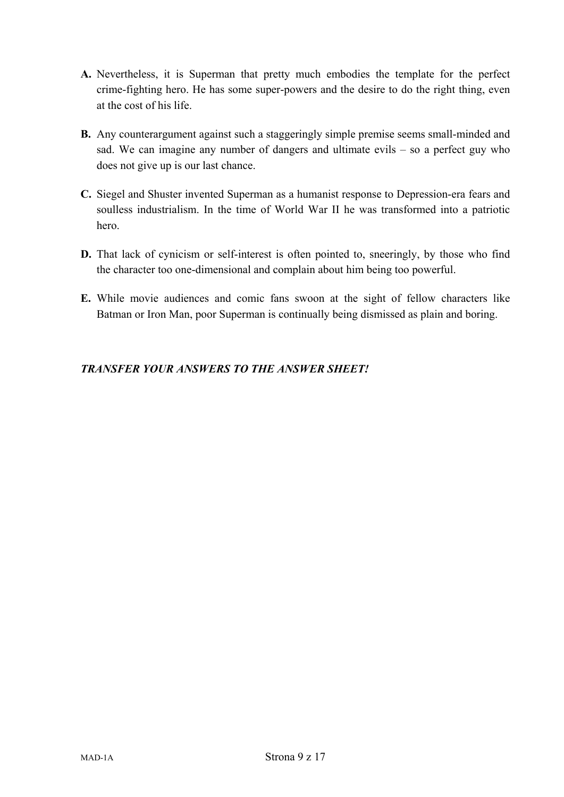- **A.** Nevertheless, it is Superman that pretty much embodies the template for the perfect crime-fighting hero. He has some super-powers and the desire to do the right thing, even at the cost of his life.
- **B.** Any counterargument against such a staggeringly simple premise seems small-minded and sad. We can imagine any number of dangers and ultimate evils – so a perfect guy who does not give up is our last chance.
- **C.** Siegel and Shuster invented Superman as a humanist response to Depression-era fears and soulless industrialism. In the time of World War II he was transformed into a patriotic hero.
- **D.** That lack of cynicism or self-interest is often pointed to, sneeringly, by those who find the character too one-dimensional and complain about him being too powerful.
- **E.** While movie audiences and comic fans swoon at the sight of fellow characters like Batman or Iron Man, poor Superman is continually being dismissed as plain and boring.

# *TRANSFER YOUR ANSWERS TO THE ANSWER SHEET!*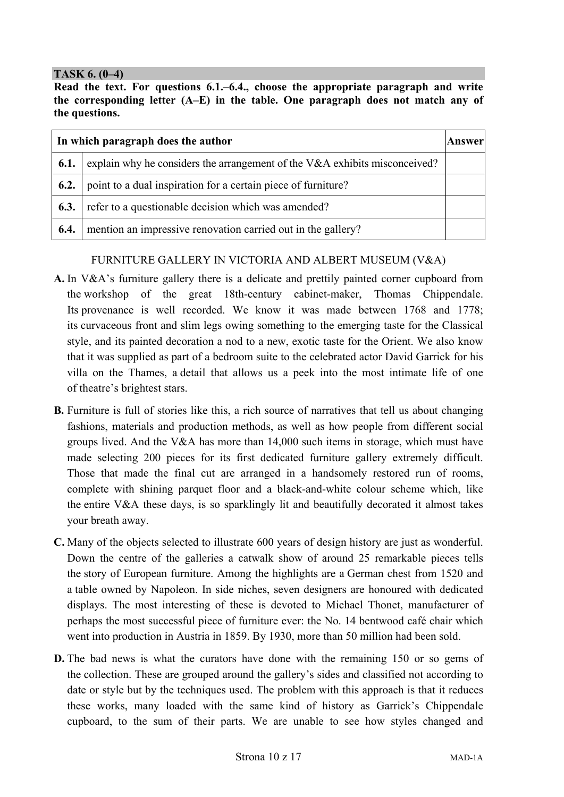## **TASK 6. (0–4)**

**Read the text. For questions 6.1.–6.4., choose the appropriate paragraph and write the corresponding letter (A–E) in the table. One paragraph does not match any of the questions.** 

| In which paragraph does the author |                                                                            |  |  |  |
|------------------------------------|----------------------------------------------------------------------------|--|--|--|
| 6.1.                               | explain why he considers the arrangement of the V&A exhibits misconceived? |  |  |  |
| 6.2.                               | point to a dual inspiration for a certain piece of furniture?              |  |  |  |
| 6.3.                               | refer to a questionable decision which was amended?                        |  |  |  |
| 6.4.                               | mention an impressive renovation carried out in the gallery?               |  |  |  |

# FURNITURE GALLERY IN VICTORIA AND ALBERT MUSEUM (V&A)

- **A.** In V&A's furniture gallery there is a delicate and prettily painted corner cupboard from the workshop of the great 18th-century cabinet-maker, Thomas Chippendale. Its provenance is well recorded. We know it was made between 1768 and 1778; its curvaceous front and slim legs owing something to the emerging taste for the Classical style, and its painted decoration a nod to a new, exotic taste for the Orient. We also know that it was supplied as part of a bedroom suite to the celebrated actor David Garrick for his villa on the Thames, a detail that allows us a peek into the most intimate life of one of theatre's brightest stars.
- **B.** Furniture is full of stories like this, a rich source of narratives that tell us about changing fashions, materials and production methods, as well as how people from different social groups lived. And the V&A has more than 14,000 such items in storage, which must have made selecting 200 pieces for its first dedicated furniture gallery extremely difficult. Those that made the final cut are arranged in a handsomely restored run of rooms, complete with shining parquet floor and a black-and-white colour scheme which, like the entire V&A these days, is so sparklingly lit and beautifully decorated it almost takes your breath away.
- **C.** Many of the objects selected to illustrate 600 years of design history are just as wonderful. Down the centre of the galleries a catwalk show of around 25 remarkable pieces tells the story of European furniture. Among the highlights are a German chest from 1520 and a table owned by Napoleon. In side niches, seven designers are honoured with dedicated displays. The most interesting of these is devoted to Michael Thonet, manufacturer of perhaps the most successful piece of furniture ever: the No. 14 bentwood café chair which went into production in Austria in 1859. By 1930, more than 50 million had been sold.
- **D.** The bad news is what the curators have done with the remaining 150 or so gems of the collection. These are grouped around the gallery's sides and classified not according to date or style but by the techniques used. The problem with this approach is that it reduces these works, many loaded with the same kind of history as Garrick's Chippendale cupboard, to the sum of their parts. We are unable to see how styles changed and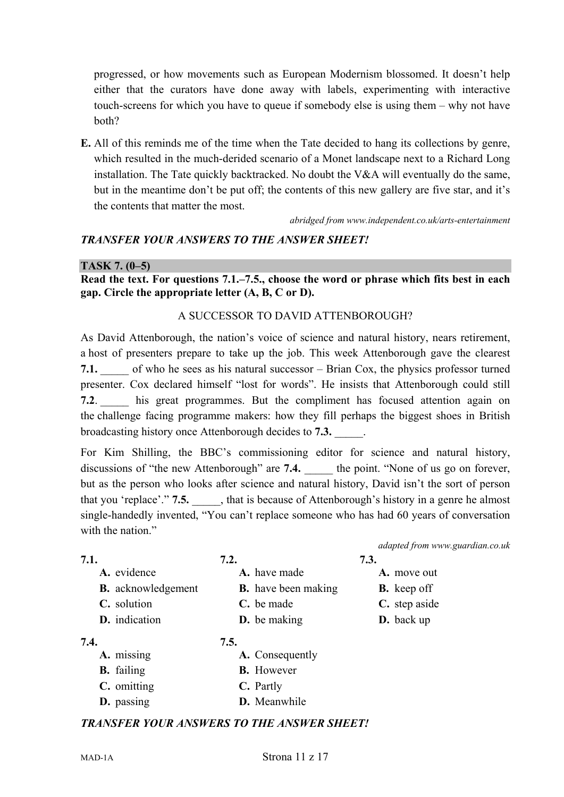progressed, or how movements such as European Modernism blossomed. It doesn't help either that the curators have done away with labels, experimenting with interactive touch-screens for which you have to queue if somebody else is using them – why not have both?

**E.** All of this reminds me of the time when the Tate decided to hang its collections by genre, which resulted in the much-derided scenario of a Monet landscape next to a Richard Long installation. The Tate quickly backtracked. No doubt the V&A will eventually do the same, but in the meantime don't be put off; the contents of this new gallery are five star, and it's the contents that matter the most.

*abridged from www.independent.co.uk/arts-entertainment* 

# *TRANSFER YOUR ANSWERS TO THE ANSWER SHEET!*

## **TASK 7. (0–5)**

**Read the text. For questions 7.1.–7.5., choose the word or phrase which fits best in each gap. Circle the appropriate letter (A, B, C or D).** 

# A SUCCESSOR TO DAVID ATTENBOROUGH?

As David Attenborough, the nation's voice of science and natural history, nears retirement, a host of presenters prepare to take up the job. This week Attenborough gave the clearest **7.1.** of who he sees as his natural successor – Brian Cox, the physics professor turned presenter. Cox declared himself "lost for words". He insists that Attenborough could still **7.2.** his great programmes. But the compliment has focused attention again on the challenge facing programme makers: how they fill perhaps the biggest shoes in British broadcasting history once Attenborough decides to **7.3.** \_\_\_\_\_.

For Kim Shilling, the BBC's commissioning editor for science and natural history, discussions of "the new Attenborough" are **7.4.** the point. "None of us go on forever, but as the person who looks after science and natural history, David isn't the sort of person that you 'replace'." **7.5.** \_\_\_\_\_, that is because of Attenborough's history in a genre he almost single-handedly invented, "You can't replace someone who has had 60 years of conversation with the nation."

|                           |                            | adapted from www.guardian.co.uk |
|---------------------------|----------------------------|---------------------------------|
| 7.1.                      | 7.2.                       | 7.3.                            |
| A. evidence               | A. have made               | A. move out                     |
| <b>B.</b> acknowledgement | <b>B.</b> have been making | <b>B.</b> keep off              |
| C. solution               | C. be made                 | C. step aside                   |
| D. indication             | <b>D.</b> be making        | <b>D.</b> back up               |
| 7.4.                      | 7.5.                       |                                 |
| A. missing                | A. Consequently            |                                 |
| <b>B.</b> failing         | <b>B.</b> However          |                                 |

#### **B.** failing **C.** omitting **C.** Partly

**D.** passing **D.** Meanwhile

# *TRANSFER YOUR ANSWERS TO THE ANSWER SHEET!*

#### MAD-1A Strona 11 z 17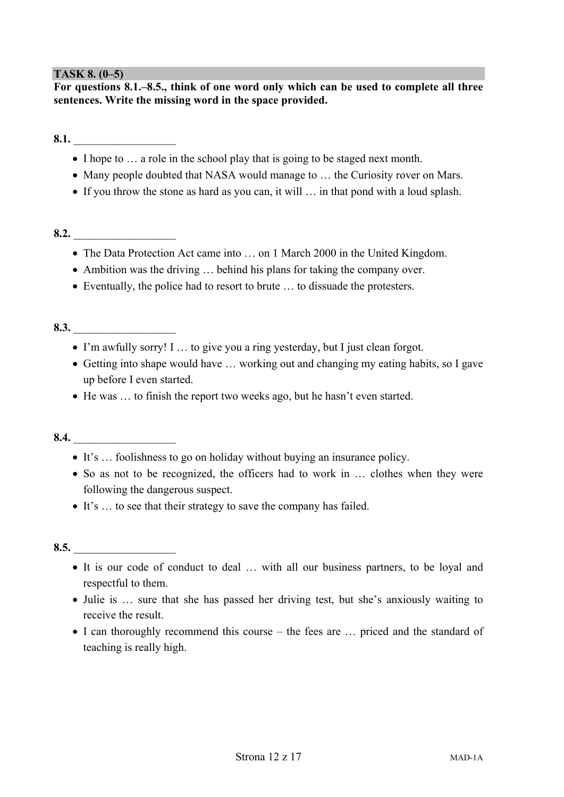# **TASK 8. (0–5)**

**For questions 8.1.–8.5., think of one word only which can be used to complete all three sentences. Write the missing word in the space provided.** 

**8.1.**  $\blacksquare$ 

- I hope to ... a role in the school play that is going to be staged next month.
- Many people doubted that NASA would manage to ... the Curiosity rover on Mars.
- If you throw the stone as hard as you can, it will … in that pond with a loud splash.

#### **8.2.**  $\blacksquare$

- The Data Protection Act came into … on 1 March 2000 in the United Kingdom.
- Ambition was the driving … behind his plans for taking the company over.
- Eventually, the police had to resort to brute … to dissuade the protesters.

# **8.3.**  $\blacksquare$

- I'm awfully sorry! I … to give you a ring yesterday, but I just clean forgot.
- Getting into shape would have … working out and changing my eating habits, so I gave up before I even started.
- He was … to finish the report two weeks ago, but he hasn't even started.

# **8.4.** \_\_\_\_\_\_\_\_\_\_\_\_\_\_\_\_\_\_

- It's … foolishness to go on holiday without buying an insurance policy.
- So as not to be recognized, the officers had to work in … clothes when they were following the dangerous suspect.
- It's … to see that their strategy to save the company has failed.

#### **8.5.** \_\_\_\_\_\_\_\_\_\_\_\_\_\_\_\_\_\_

- It is our code of conduct to deal … with all our business partners, to be loyal and respectful to them.
- Julie is ... sure that she has passed her driving test, but she's anxiously waiting to receive the result.
- I can thoroughly recommend this course the fees are ... priced and the standard of teaching is really high.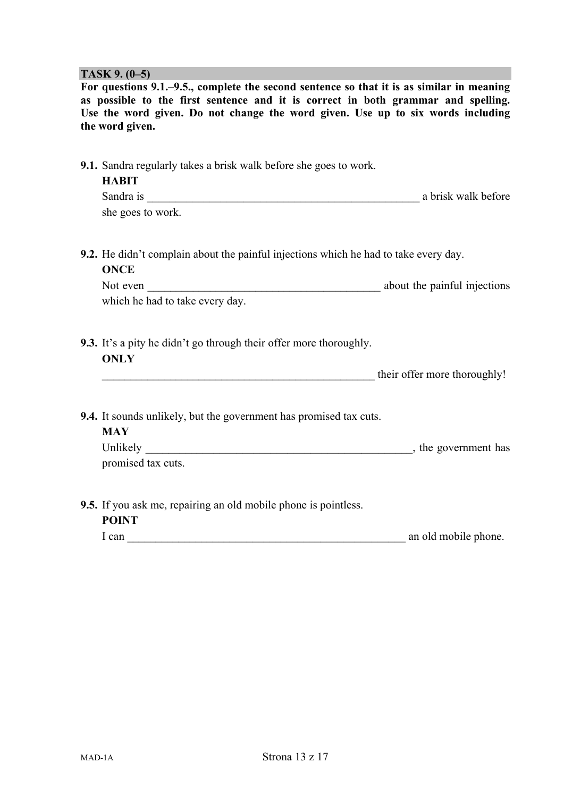#### **TASK 9. (0–5)**

**For questions 9.1.–9.5., complete the second sentence so that it is as similar in meaning as possible to the first sentence and it is correct in both grammar and spelling. Use the word given. Do not change the word given. Use up to six words including the word given.** 

| <b>9.1.</b> Sandra regularly takes a brisk walk before she goes to work.<br><b>HABIT</b><br>Sandra is<br>she goes to work.                                | a brisk walk before          |
|-----------------------------------------------------------------------------------------------------------------------------------------------------------|------------------------------|
| <b>9.2.</b> He didn't complain about the painful injections which he had to take every day.<br><b>ONCE</b><br>Not even<br>which he had to take every day. | about the painful injections |
| <b>9.3.</b> It's a pity he didn't go through their offer more thoroughly.<br><b>ONLY</b>                                                                  | their offer more thoroughly! |

**9.4.** It sounds unlikely, but the government has promised tax cuts.

| <b>MAY</b>         |                      |
|--------------------|----------------------|
| Unlikely           | , the government has |
| promised tax cuts. |                      |

**9.5.** If you ask me, repairing an old mobile phone is pointless. **POINT** 

| 1 can | an old mobile phone. |  |
|-------|----------------------|--|
|       |                      |  |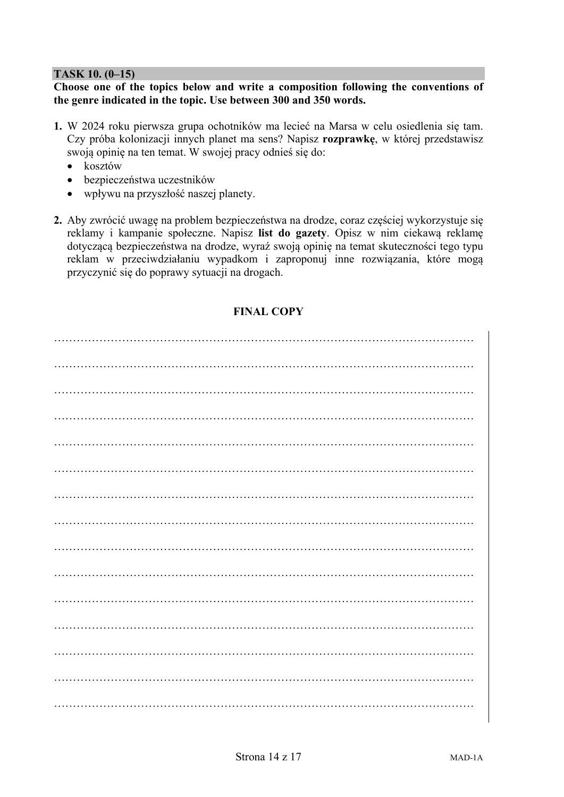## **TASK 10. (0–15)**

#### **Choose one of the topics below and write a composition following the conventions of the genre indicated in the topic. Use between 300 and 350 words.**

- **1.** W 2024 roku pierwsza grupa ochotników ma lecieć na Marsa w celu osiedlenia się tam. Czy próba kolonizacji innych planet ma sens? Napisz **rozprawkę**, w której przedstawisz swoją opinię na ten temat. W swojej pracy odnieś się do:
	- $\bullet$  kosztów
	- bezpieczeństwa uczestników
	- wpływu na przyszłość naszej planety.
- **2.** Aby zwrócić uwagę na problem bezpieczeństwa na drodze, coraz częściej wykorzystuje się reklamy i kampanie społeczne. Napisz **list do gazety**. Opisz w nim ciekawą reklamę dotyczącą bezpieczeństwa na drodze, wyraź swoją opinię na temat skuteczności tego typu reklam w przeciwdziałaniu wypadkom i zaproponuj inne rozwiązania, które mogą przyczynić się do poprawy sytuacji na drogach.

# **FINAL COPY**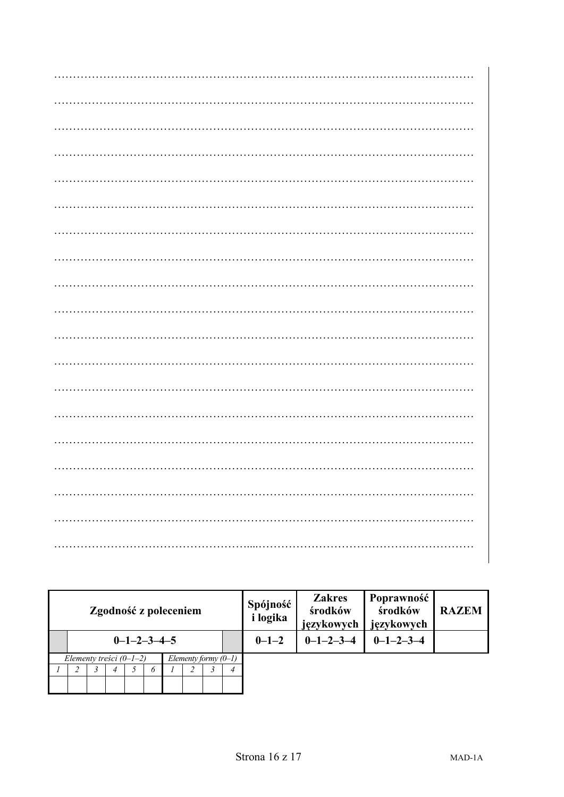| Zgodność z poleceniem                               |                         |  |  |  |  |  |  | Spójność<br><i>i</i> logika | <b>Zakres</b><br>środków<br>językowych | Poprawność<br>środków<br>językowych | <b>RAZEM</b>        |  |
|-----------------------------------------------------|-------------------------|--|--|--|--|--|--|-----------------------------|----------------------------------------|-------------------------------------|---------------------|--|
|                                                     | $0 - 1 - 2 - 3 - 4 - 5$ |  |  |  |  |  |  |                             | $0 - 1 - 2$                            | $0 - 1 - 2 - 3 - 4$                 | $0 - 1 - 2 - 3 - 4$ |  |
| Elementy treści $(0-1-2)$<br>Elementy formy $(0-1)$ |                         |  |  |  |  |  |  |                             |                                        |                                     |                     |  |
|                                                     |                         |  |  |  |  |  |  |                             |                                        |                                     |                     |  |
|                                                     |                         |  |  |  |  |  |  |                             |                                        |                                     |                     |  |